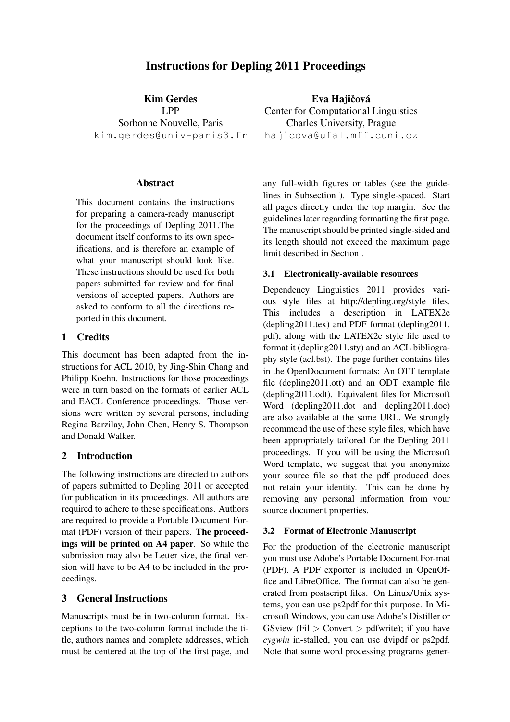# Instructions for Depling 2011 Proceedings

Kim Gerdes LPP Sorbonne Nouvelle, Paris kim.gerdes@univ-paris3.fr

#### Abstract

This document contains the instructions for preparing a camera-ready manuscript for the proceedings of Depling 2011.The document itself conforms to its own specifications, and is therefore an example of what your manuscript should look like. These instructions should be used for both papers submitted for review and for final versions of accepted papers. Authors are asked to conform to all the directions reported in this document.

## 1 Credits

This document has been adapted from the instructions for ACL 2010, by Jing-Shin Chang and Philipp Koehn. Instructions for those proceedings were in turn based on the formats of earlier ACL and EACL Conference proceedings. Those versions were written by several persons, including Regina Barzilay, John Chen, Henry S. Thompson and Donald Walker.

## 2 Introduction

The following instructions are directed to authors of papers submitted to Depling 2011 or accepted for publication in its proceedings. All authors are required to adhere to these specifications. Authors are required to provide a Portable Document Format (PDF) version of their papers. The proceedings will be printed on A4 paper. So while the submission may also be Letter size, the final version will have to be A4 to be included in the proceedings.

## 3 General Instructions

Manuscripts must be in two-column format. Exceptions to the two-column format include the title, authors names and complete addresses, which must be centered at the top of the first page, and

Eva Hajičová Center for Computational Linguistics Charles University, Prague hajicova@ufal.mff.cuni.cz

any full-width figures or tables (see the guidelines in Subsection ). Type single-spaced. Start all pages directly under the top margin. See the guidelines later regarding formatting the first page. The manuscript should be printed single-sided and its length should not exceed the maximum page limit described in Section .

## 3.1 Electronically-available resources

Dependency Linguistics 2011 provides various style files at http://depling.org/style files. This includes a description in LATEX2e (depling2011.tex) and PDF format (depling2011. pdf), along with the LATEX2e style file used to format it (depling2011.sty) and an ACL bibliography style (acl.bst). The page further contains files in the OpenDocument formats: An OTT template file (depling2011.ott) and an ODT example file (depling2011.odt). Equivalent files for Microsoft Word (depling2011.dot and depling2011.doc) are also available at the same URL. We strongly recommend the use of these style files, which have been appropriately tailored for the Depling 2011 proceedings. If you will be using the Microsoft Word template, we suggest that you anonymize your source file so that the pdf produced does not retain your identity. This can be done by removing any personal information from your source document properties.

## 3.2 Format of Electronic Manuscript

For the production of the electronic manuscript you must use Adobe's Portable Document For-mat (PDF). A PDF exporter is included in OpenOffice and LibreOffice. The format can also be generated from postscript files. On Linux/Unix systems, you can use ps2pdf for this purpose. In Microsoft Windows, you can use Adobe's Distiller or GSview (Fil  $>$  Convert  $>$  pdfwrite); if you have *cygwin* in-stalled, you can use dvipdf or ps2pdf. Note that some word processing programs gener-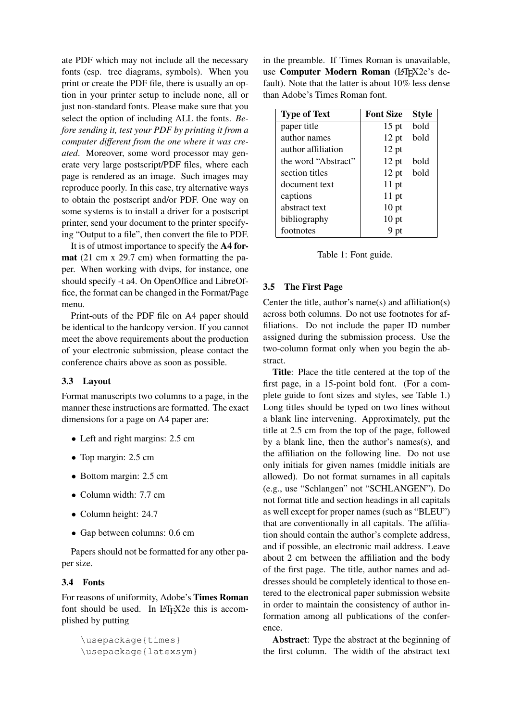ate PDF which may not include all the necessary fonts (esp. tree diagrams, symbols). When you print or create the PDF file, there is usually an option in your printer setup to include none, all or just non-standard fonts. Please make sure that you select the option of including ALL the fonts. *Before sending it, test your PDF by printing it from a computer different from the one where it was created*. Moreover, some word processor may generate very large postscript/PDF files, where each page is rendered as an image. Such images may reproduce poorly. In this case, try alternative ways to obtain the postscript and/or PDF. One way on some systems is to install a driver for a postscript printer, send your document to the printer specifying "Output to a file", then convert the file to PDF.

It is of utmost importance to specify the A4 format (21 cm x 29.7 cm) when formatting the paper. When working with dvips, for instance, one should specify -t a4. On OpenOffice and LibreOffice, the format can be changed in the Format/Page menu.

Print-outs of the PDF file on A4 paper should be identical to the hardcopy version. If you cannot meet the above requirements about the production of your electronic submission, please contact the conference chairs above as soon as possible.

## 3.3 Layout

Format manuscripts two columns to a page, in the manner these instructions are formatted. The exact dimensions for a page on A4 paper are:

- Left and right margins: 2.5 cm
- Top margin: 2.5 cm
- Bottom margin: 2.5 cm
- Column width: 7.7 cm
- Column height: 24.7
- Gap between columns: 0.6 cm

Papers should not be formatted for any other paper size.

#### 3.4 Fonts

For reasons of uniformity, Adobe's Times Roman font should be used. In LAT<sub>E</sub>X2e this is accomplished by putting

```
\usepackage{times}
\usepackage{latexsym}
```
in the preamble. If Times Roman is unavailable, use Computer Modern Roman (LATEX2e's default). Note that the latter is about 10% less dense than Adobe's Times Roman font.

| <b>Type of Text</b> | <b>Font Size</b> | <b>Style</b> |
|---------------------|------------------|--------------|
| paper title         | $15$ pt          | bold         |
| author names        | $12$ pt          | bold         |
| author affiliation  | $12$ pt          |              |
| the word "Abstract" | $12$ pt          | bold         |
| section titles      | $12$ pt          | bold         |
| document text       | $11$ pt          |              |
| captions            | $11$ pt          |              |
| abstract text       | $10$ pt          |              |
| bibliography        | $10$ pt          |              |
| footnotes           | 9 pt             |              |



#### 3.5 The First Page

Center the title, author's name(s) and affiliation(s) across both columns. Do not use footnotes for affiliations. Do not include the paper ID number assigned during the submission process. Use the two-column format only when you begin the abstract.

Title: Place the title centered at the top of the first page, in a 15-point bold font. (For a complete guide to font sizes and styles, see Table 1.) Long titles should be typed on two lines without a blank line intervening. Approximately, put the title at 2.5 cm from the top of the page, followed by a blank line, then the author's names(s), and the affiliation on the following line. Do not use only initials for given names (middle initials are allowed). Do not format surnames in all capitals (e.g., use "Schlangen" not "SCHLANGEN"). Do not format title and section headings in all capitals as well except for proper names (such as "BLEU") that are conventionally in all capitals. The affiliation should contain the author's complete address, and if possible, an electronic mail address. Leave about 2 cm between the affiliation and the body of the first page. The title, author names and addresses should be completely identical to those entered to the electronical paper submission website in order to maintain the consistency of author information among all publications of the conference.

Abstract: Type the abstract at the beginning of the first column. The width of the abstract text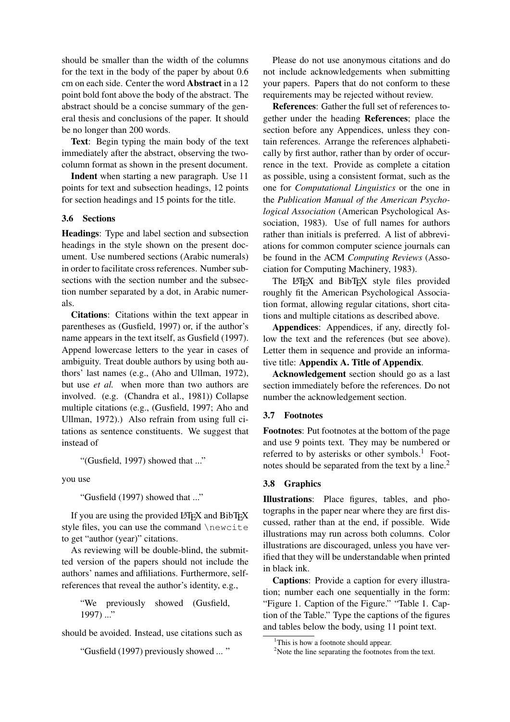should be smaller than the width of the columns for the text in the body of the paper by about 0.6 cm on each side. Center the word Abstract in a 12 point bold font above the body of the abstract. The abstract should be a concise summary of the general thesis and conclusions of the paper. It should be no longer than 200 words.

Text: Begin typing the main body of the text immediately after the abstract, observing the twocolumn format as shown in the present document.

Indent when starting a new paragraph. Use 11 points for text and subsection headings, 12 points for section headings and 15 points for the title.

#### 3.6 Sections

Headings: Type and label section and subsection headings in the style shown on the present document. Use numbered sections (Arabic numerals) in order to facilitate cross references. Number subsections with the section number and the subsection number separated by a dot, in Arabic numerals.

Citations: Citations within the text appear in parentheses as (Gusfield, 1997) or, if the author's name appears in the text itself, as Gusfield (1997). Append lowercase letters to the year in cases of ambiguity. Treat double authors by using both authors' last names (e.g., (Aho and Ullman, 1972), but use *et al.* when more than two authors are involved. (e.g. (Chandra et al., 1981)) Collapse multiple citations (e.g., (Gusfield, 1997; Aho and Ullman, 1972).) Also refrain from using full citations as sentence constituents. We suggest that instead of

"(Gusfield, 1997) showed that ..."

you use

"Gusfield (1997) showed that ..."

If you are using the provided LATEX and BibTEX style files, you can use the command \newcite to get "author (year)" citations.

As reviewing will be double-blind, the submitted version of the papers should not include the authors' names and affiliations. Furthermore, selfreferences that reveal the author's identity, e.g.,

"We previously showed (Gusfield, 1997) ..."

should be avoided. Instead, use citations such as

"Gusfield (1997) previously showed ... "

Please do not use anonymous citations and do not include acknowledgements when submitting your papers. Papers that do not conform to these requirements may be rejected without review.

References: Gather the full set of references together under the heading References; place the section before any Appendices, unless they contain references. Arrange the references alphabetically by first author, rather than by order of occurrence in the text. Provide as complete a citation as possible, using a consistent format, such as the one for *Computational Linguistics* or the one in the *Publication Manual of the American Psychological Association* (American Psychological Association, 1983). Use of full names for authors rather than initials is preferred. A list of abbreviations for common computer science journals can be found in the ACM *Computing Reviews* (Association for Computing Machinery, 1983).

The LATEX and BibTEX style files provided roughly fit the American Psychological Association format, allowing regular citations, short citations and multiple citations as described above.

Appendices: Appendices, if any, directly follow the text and the references (but see above). Letter them in sequence and provide an informative title: Appendix A. Title of Appendix.

Acknowledgement section should go as a last section immediately before the references. Do not number the acknowledgement section.

#### 3.7 Footnotes

Footnotes: Put footnotes at the bottom of the page and use 9 points text. They may be numbered or referred to by asterisks or other symbols.<sup>1</sup> Footnotes should be separated from the text by a line.<sup>2</sup>

#### 3.8 Graphics

Illustrations: Place figures, tables, and photographs in the paper near where they are first discussed, rather than at the end, if possible. Wide illustrations may run across both columns. Color illustrations are discouraged, unless you have verified that they will be understandable when printed in black ink.

Captions: Provide a caption for every illustration; number each one sequentially in the form: "Figure 1. Caption of the Figure." "Table 1. Caption of the Table." Type the captions of the figures and tables below the body, using 11 point text.

<sup>&</sup>lt;sup>1</sup>This is how a footnote should appear.

<sup>&</sup>lt;sup>2</sup>Note the line separating the footnotes from the text.